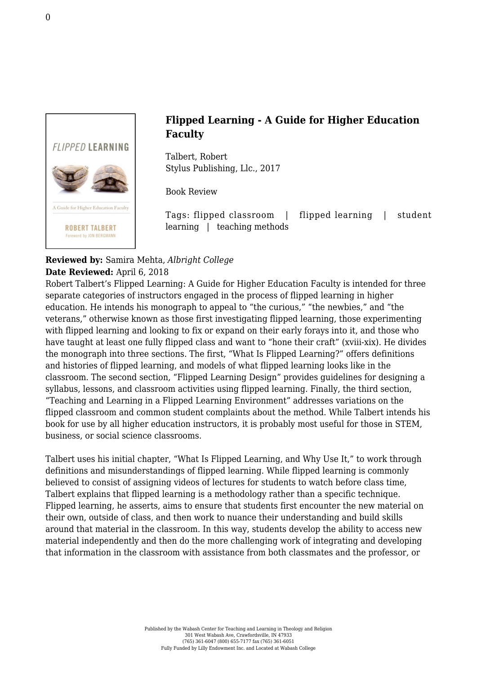

## **Flipped Learning - A Guide for Higher Education Faculty**

Talbert, Robert [Stylus Publishing, Llc., 2017](https://sty.presswarehouse.com/books/BookDetail.aspx?productID=468277)

Book Review

Tags: flipped classroom | flipped learning | student learning | teaching methods

## **Reviewed by:** Samira Mehta, *Albright College* **Date Reviewed:** April 6, 2018

Robert Talbert's Flipped Learning: A Guide for Higher Education Faculty is intended for three separate categories of instructors engaged in the process of flipped learning in higher education. He intends his monograph to appeal to "the curious," "the newbies," and "the veterans," otherwise known as those first investigating flipped learning, those experimenting with flipped learning and looking to fix or expand on their early forays into it, and those who have taught at least one fully flipped class and want to "hone their craft" (xviii-xix). He divides the monograph into three sections. The first, "What Is Flipped Learning?" offers definitions and histories of flipped learning, and models of what flipped learning looks like in the classroom. The second section, "Flipped Learning Design" provides guidelines for designing a syllabus, lessons, and classroom activities using flipped learning. Finally, the third section, "Teaching and Learning in a Flipped Learning Environment" addresses variations on the flipped classroom and common student complaints about the method. While Talbert intends his book for use by all higher education instructors, it is probably most useful for those in STEM, business, or social science classrooms.

Talbert uses his initial chapter, "What Is Flipped Learning, and Why Use It," to work through definitions and misunderstandings of flipped learning. While flipped learning is commonly believed to consist of assigning videos of lectures for students to watch before class time, Talbert explains that flipped learning is a methodology rather than a specific technique. Flipped learning, he asserts, aims to ensure that students first encounter the new material on their own, outside of class, and then work to nuance their understanding and build skills around that material in the classroom. In this way, students develop the ability to access new material independently and then do the more challenging work of integrating and developing that information in the classroom with assistance from both classmates and the professor, or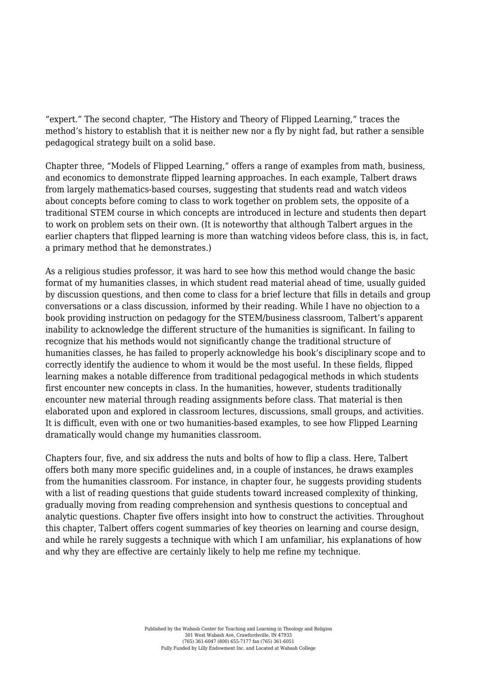"expert." The second chapter, "The History and Theory of Flipped Learning," traces the method's history to establish that it is neither new nor a fly by night fad, but rather a sensible pedagogical strategy built on a solid base.

Chapter three, "Models of Flipped Learning," offers a range of examples from math, business, and economics to demonstrate flipped learning approaches. In each example, Talbert draws from largely mathematics-based courses, suggesting that students read and watch videos about concepts before coming to class to work together on problem sets, the opposite of a traditional STEM course in which concepts are introduced in lecture and students then depart to work on problem sets on their own. (It is noteworthy that although Talbert argues in the earlier chapters that flipped learning is more than watching videos before class, this is, in fact, a primary method that he demonstrates.)

As a religious studies professor, it was hard to see how this method would change the basic format of my humanities classes, in which student read material ahead of time, usually guided by discussion questions, and then come to class for a brief lecture that fills in details and group conversations or a class discussion, informed by their reading. While I have no objection to a book providing instruction on pedagogy for the STEM/business classroom, Talbert's apparent inability to acknowledge the different structure of the humanities is significant. In failing to recognize that his methods would not significantly change the traditional structure of humanities classes, he has failed to properly acknowledge his book's disciplinary scope and to correctly identify the audience to whom it would be the most useful. In these fields, flipped learning makes a notable difference from traditional pedagogical methods in which students first encounter new concepts in class. In the humanities, however, students traditionally encounter new material through reading assignments before class. That material is then elaborated upon and explored in classroom lectures, discussions, small groups, and activities. It is difficult, even with one or two humanities-based examples, to see how Flipped Learning dramatically would change my humanities classroom.

Chapters four, five, and six address the nuts and bolts of how to flip a class. Here, Talbert offers both many more specific guidelines and, in a couple of instances, he draws examples from the humanities classroom. For instance, in chapter four, he suggests providing students with a list of reading questions that guide students toward increased complexity of thinking, gradually moving from reading comprehension and synthesis questions to conceptual and analytic questions. Chapter five offers insight into how to construct the activities. Throughout this chapter, Talbert offers cogent summaries of key theories on learning and course design, and while he rarely suggests a technique with which I am unfamiliar, his explanations of how and why they are effective are certainly likely to help me refine my technique.